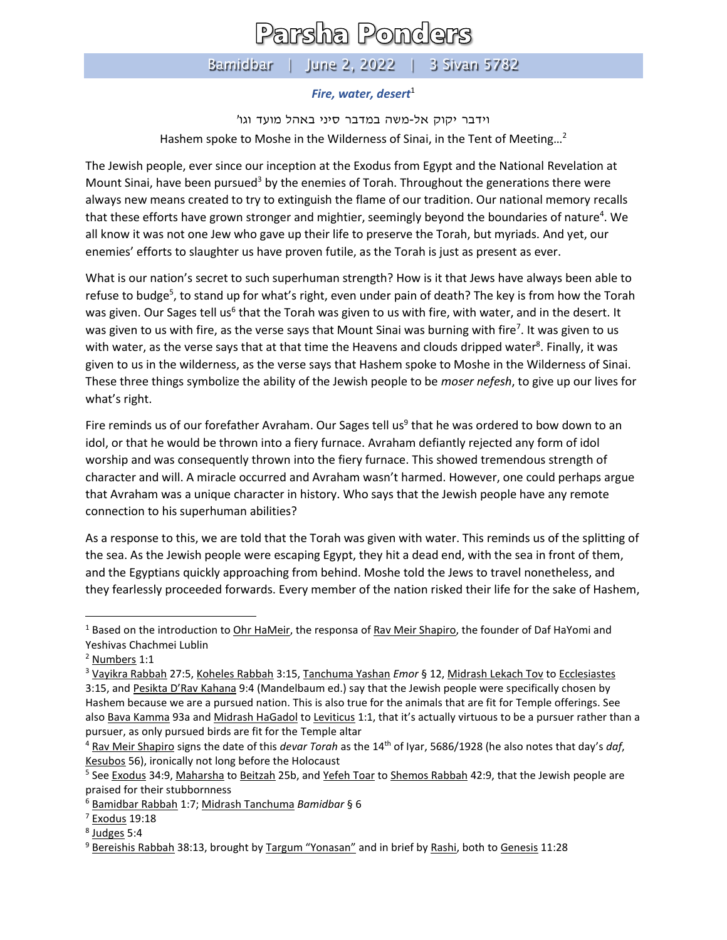## Parsha Ponders

## Bamidbar | June 2, 2022 | 3 Sivan 5782

## *Fire, water, desert*<sup>1</sup>

וידבר יקוק אל-משה במדבר סיני באהל מועד וגו' Hashem spoke to Moshe in the Wilderness of Sinai, in the Tent of Meeting…<sup>2</sup>

The Jewish people, ever since our inception at the Exodus from Egypt and the National Revelation at Mount Sinai, have been pursued<sup>3</sup> by the enemies of Torah. Throughout the generations there were always new means created to try to extinguish the flame of our tradition. Our national memory recalls that these efforts have grown stronger and mightier, seemingly beyond the boundaries of nature<sup>4</sup>. We all know it was not one Jew who gave up their life to preserve the Torah, but myriads. And yet, our enemies' efforts to slaughter us have proven futile, as the Torah is just as present as ever.

What is our nation's secret to such superhuman strength? How is it that Jews have always been able to refuse to budge<sup>5</sup>, to stand up for what's right, even under pain of death? The key is from how the Torah was given. Our Sages tell us<sup>6</sup> that the Torah was given to us with fire, with water, and in the desert. It was given to us with fire, as the verse says that Mount Sinai was burning with fire<sup>7</sup>. It was given to us with water, as the verse says that at that time the Heavens and clouds dripped water<sup>8</sup>. Finally, it was given to us in the wilderness, as the verse says that Hashem spoke to Moshe in the Wilderness of Sinai. These three things symbolize the ability of the Jewish people to be *moser nefesh*, to give up our lives for what's right.

Fire reminds us of our forefather Avraham. Our Sages tell us<sup>9</sup> that he was ordered to bow down to an idol, or that he would be thrown into a fiery furnace. Avraham defiantly rejected any form of idol worship and was consequently thrown into the fiery furnace. This showed tremendous strength of character and will. A miracle occurred and Avraham wasn't harmed. However, one could perhaps argue that Avraham was a unique character in history. Who says that the Jewish people have any remote connection to his superhuman abilities?

As a response to this, we are told that the Torah was given with water. This reminds us of the splitting of the sea. As the Jewish people were escaping Egypt, they hit a dead end, with the sea in front of them, and the Egyptians quickly approaching from behind. Moshe told the Jews to travel nonetheless, and they fearlessly proceeded forwards. Every member of the nation risked their life for the sake of Hashem,

 $1$  Based on the introduction to Ohr HaMeir, the responsa of Rav Meir Shapiro, the founder of Daf HaYomi and Yeshivas Chachmei Lublin

<sup>2</sup> Numbers 1:1

<sup>3</sup> Vayikra Rabbah 27:5, Koheles Rabbah 3:15, Tanchuma Yashan *Emor* § 12, Midrash Lekach Tov to Ecclesiastes 3:15, and Pesikta D'Rav Kahana 9:4 (Mandelbaum ed.) say that the Jewish people were specifically chosen by Hashem because we are a pursued nation. This is also true for the animals that are fit for Temple offerings. See also Bava Kamma 93a and Midrash HaGadol to Leviticus 1:1, that it's actually virtuous to be a pursuer rather than a pursuer, as only pursued birds are fit for the Temple altar

<sup>4</sup> Rav Meir Shapiro signs the date of this *devar Torah* as the 14th of Iyar, 5686/1928 (he also notes that day's *daf*, Kesubos 56), ironically not long before the Holocaust

<sup>&</sup>lt;sup>5</sup> See <u>Exodus</u> 34:9, <u>Maharsha</u> to <u>Beitzah</u> 25b, and <u>Yefeh Toar</u> to <u>Shemos Rabbah</u> 42:9, that the Jewish people are praised for their stubbornness

<sup>6</sup> Bamidbar Rabbah 1:7; Midrash Tanchuma *Bamidbar* § 6

 $7$  Exodus 19:18

<sup>&</sup>lt;sup>8</sup> Judges 5:4

<sup>9</sup> Bereishis Rabbah 38:13, brought by Targum "Yonasan" and in brief by Rashi, both to Genesis 11:28